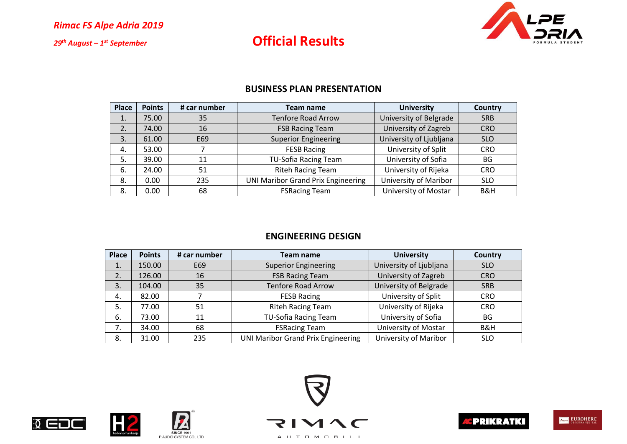

### **Official Results**

### **BUSINESS PLAN PRESENTATION**

| <b>Place</b> | <b>Points</b> | # car number | Team name                                 | <b>University</b>       | <b>Country</b> |
|--------------|---------------|--------------|-------------------------------------------|-------------------------|----------------|
| 1.           | 75.00         | 35           | <b>Tenfore Road Arrow</b>                 | University of Belgrade  | <b>SRB</b>     |
| 2.           | 74.00         | 16           | <b>FSB Racing Team</b>                    | University of Zagreb    | <b>CRO</b>     |
| 3.           | 61.00         | E69          | <b>Superior Engineering</b>               | University of Ljubljana | <b>SLO</b>     |
| 4.           | 53.00         |              | <b>FESB Racing</b>                        | University of Split     | <b>CRO</b>     |
| 5.           | 39.00         | 11           | <b>TU-Sofia Racing Team</b>               | University of Sofia     | BG             |
| 6.           | 24.00         | 51           | <b>Riteh Racing Team</b>                  | University of Rijeka    | <b>CRO</b>     |
| 8.           | 0.00          | 235          | <b>UNI Maribor Grand Prix Engineering</b> | University of Maribor   | <b>SLO</b>     |
| 8.           | 0.00          | 68           | <b>FSRacing Team</b>                      | University of Mostar    | B&H            |

### **ENGINEERING DESIGN**

| <b>Place</b> | <b>Points</b> | # car number | Team name                                 | <b>University</b>       | <b>Country</b> |
|--------------|---------------|--------------|-------------------------------------------|-------------------------|----------------|
| 1.           | 150.00        | E69          | <b>Superior Engineering</b>               | University of Ljubljana | <b>SLO</b>     |
| 2.           | 126.00        | 16           | <b>FSB Racing Team</b>                    | University of Zagreb    | <b>CRO</b>     |
| 3.           | 104.00        | 35           | <b>Tenfore Road Arrow</b>                 | University of Belgrade  | <b>SRB</b>     |
| 4.           | 82.00         |              | <b>FESB Racing</b>                        | University of Split     | <b>CRO</b>     |
| 5.           | 77.00         | 51           | <b>Riteh Racing Team</b>                  | University of Rijeka    | <b>CRO</b>     |
| 6.           | 73.00         | 11           | <b>TU-Sofia Racing Team</b>               | University of Sofia     | <b>BG</b>      |
| 7.           | 34.00         | 68           | <b>FSRacing Team</b>                      | University of Mostar    | B&H            |
| 8.           | 31.00         | 235          | <b>UNI Maribor Grand Prix Engineering</b> | University of Maribor   | <b>SLO</b>     |









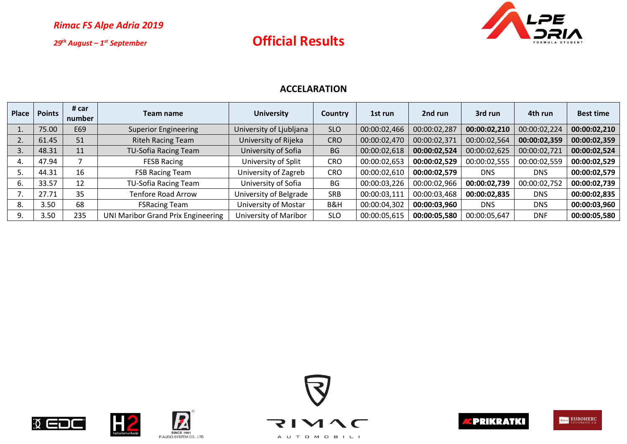## **Official Results**



### **ACCELARATION**

| Place | <b>Points</b> | # car<br>number | Team name                                 | <b>University</b>       | <b>Country</b> | 1st run      | 2nd run      | 3rd run      | 4th run      | <b>Best time</b> |
|-------|---------------|-----------------|-------------------------------------------|-------------------------|----------------|--------------|--------------|--------------|--------------|------------------|
|       | 75.00         | E69             | <b>Superior Engineering</b>               | University of Ljubljana | <b>SLO</b>     | 00:00:02,466 | 00:00:02,287 | 00:00:02,210 | 00:00:02,224 | 00:00:02,210     |
|       | 61.45         | 51              | <b>Riteh Racing Team</b>                  | University of Rijeka    | <b>CRO</b>     | 00:00:02,470 | 00:00:02,371 | 00:00:02,564 | 00:00:02,359 | 00:00:02,359     |
|       | 48.31         | 11              | <b>TU-Sofia Racing Team</b>               | University of Sofia     | <b>BG</b>      | 00:00:02,618 | 00:00:02,524 | 00:00:02,625 | 00:00:02,721 | 00:00:02,524     |
| 4.    | 47.94         |                 | <b>FESB Racing</b>                        | University of Split     | <b>CRO</b>     | 00:00:02,653 | 00:00:02,529 | 00:00:02,555 | 00:00:02,559 | 00:00:02,529     |
|       | 44.31         | 16              | <b>FSB Racing Team</b>                    | University of Zagreb    | <b>CRO</b>     | 00:00:02,610 | 00:00:02,579 | <b>DNS</b>   | <b>DNS</b>   | 00:00:02,579     |
| ь.    | 33.57         | 12              | <b>TU-Sofia Racing Team</b>               | University of Sofia     | BG             | 00:00:03,226 | 00:00:02,966 | 00:00:02,739 | 00:00:02,752 | 00:00:02,739     |
|       | 27.71         | 35              | <b>Tenfore Road Arrow</b>                 | University of Belgrade  | <b>SRB</b>     | 00:00:03,111 | 00:00:03,468 | 00:00:02,835 | <b>DNS</b>   | 00:00:02,835     |
| 8.    | 3.50          | 68              | <b>FSRacing Team</b>                      | University of Mostar    | B&H            | 00:00:04,302 | 00:00:03,960 | <b>DNS</b>   | <b>DNS</b>   | 00:00:03,960     |
|       | 3.50          | 235             | <b>UNI Maribor Grand Prix Engineering</b> | University of Maribor   | <b>SLO</b>     | 00:00:05,615 | 00:00:05,580 | 00:00:05,647 | <b>DNF</b>   | 00:00:05,580     |









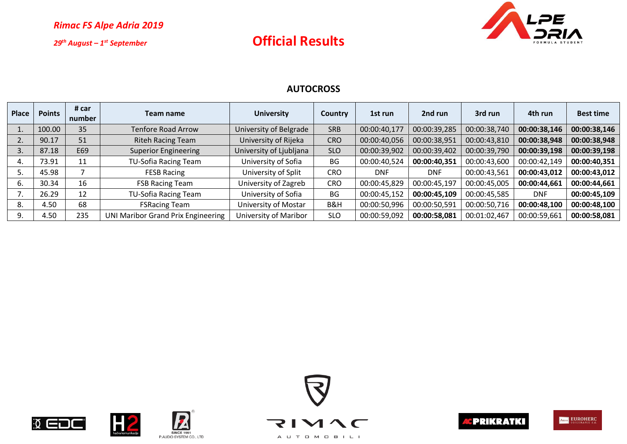## **Official Results**



### **AUTOCROSS**

| <b>Place</b> | <b>Points</b> | # car<br>number | Team name                                 | <b>University</b>       | <b>Country</b> | 1st run      | 2nd run      | 3rd run      | 4th run      | <b>Best time</b> |
|--------------|---------------|-----------------|-------------------------------------------|-------------------------|----------------|--------------|--------------|--------------|--------------|------------------|
|              | 100.00        | 35              | <b>Tenfore Road Arrow</b>                 | University of Belgrade  | <b>SRB</b>     | 00:00:40,177 | 00:00:39,285 | 00:00:38,740 | 00:00:38,146 | 00:00:38,146     |
|              | 90.17         | 51              | <b>Riteh Racing Team</b>                  | University of Rijeka    | <b>CRO</b>     | 00:00:40,056 | 00:00:38,951 | 00:00:43,810 | 00:00:38,948 | 00:00:38,948     |
|              | 87.18         | E69             | <b>Superior Engineering</b>               | University of Ljubljana | <b>SLO</b>     | 00:00:39,902 | 00:00:39,402 | 00:00:39,790 | 00:00:39,198 | 00:00:39,198     |
|              | 73.91         | 11              | <b>TU-Sofia Racing Team</b>               | University of Sofia     | BG             | 00:00:40,524 | 00:00:40,351 | 00:00:43,600 | 00:00:42,149 | 00:00:40,351     |
|              | 45.98         |                 | <b>FESB Racing</b>                        | University of Split     | CRO            | <b>DNF</b>   | <b>DNF</b>   | 00:00:43,561 | 00:00:43,012 | 00:00:43,012     |
| ь.           | 30.34         | 16              | <b>FSB Racing Team</b>                    | University of Zagreb    | <b>CRO</b>     | 00:00:45,829 | 00:00:45,197 | 00:00:45,005 | 00:00:44,661 | 00:00:44,661     |
|              | 26.29         | 12              | TU-Sofia Racing Team                      | University of Sofia     | <b>BG</b>      | 00:00:45,152 | 00:00:45,109 | 00:00:45,585 | <b>DNF</b>   | 00:00:45,109     |
| 8.           | 4.50          | 68              | <b>FSRacing Team</b>                      | University of Mostar    | B&H            | 00:00:50,996 | 00:00:50,591 | 00:00:50,716 | 00:00:48,100 | 00:00:48,100     |
| 9.           | 4.50          | 235             | <b>UNI Maribor Grand Prix Engineering</b> | University of Maribor   | <b>SLO</b>     | 00:00:59,092 | 00:00:58,081 | 00:01:02,467 | 00:00:59,661 | 00:00:58,081     |



 $\sqrt{ }$ 









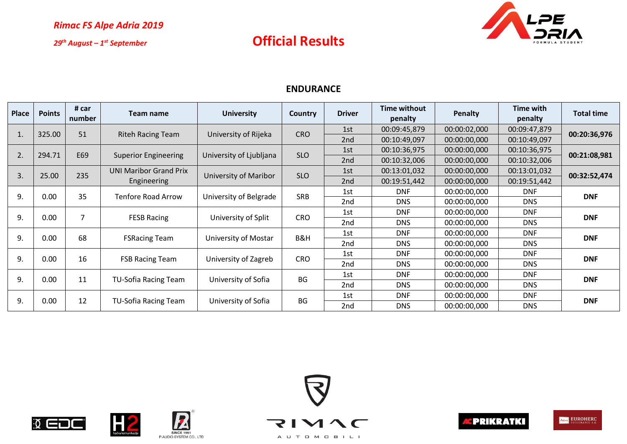

### **Official Results**

### **ENDURANCE**

| Place | <b>Points</b> | # car<br>number | Team name                     | <b>University</b>            | Country    | <b>Driver</b> | Time without<br>penalty | <b>Penalty</b> | Time with<br>penalty | <b>Total time</b> |  |
|-------|---------------|-----------------|-------------------------------|------------------------------|------------|---------------|-------------------------|----------------|----------------------|-------------------|--|
|       | 325.00        | 51              | <b>Riteh Racing Team</b>      | University of Rijeka         | <b>CRO</b> | 1st           | 00:09:45,879            | 00:00:02,000   | 00:09:47,879         | 00:20:36,976      |  |
| Ţ.    |               |                 |                               |                              |            | 2nd           | 00:10:49,097            | 00:00:00,000   | 00:10:49,097         |                   |  |
| 2.    | 294.71        | E69             | <b>Superior Engineering</b>   | University of Ljubljana      | <b>SLO</b> | 1st           | 00:10:36,975            | 00:00:00,000   | 00:10:36,975         | 00:21:08,981      |  |
|       |               |                 |                               |                              |            | 2nd           | 00:10:32,006            | 00:00:00,000   | 00:10:32,006         |                   |  |
| 3.    | 25.00         | 235             | <b>UNI Maribor Grand Prix</b> | <b>University of Maribor</b> | <b>SLO</b> | 1st           | 00:13:01,032            | 00:00:00,000   | 00:13:01,032         | 00:32:52,474      |  |
|       |               |                 | Engineering                   |                              |            |               | 2nd                     | 00:19:51,442   | 00:00:00,000         | 00:19:51,442      |  |
| 9.    | 0.00          | 35              | Tenfore Road Arrow            | University of Belgrade       | <b>SRB</b> | 1st           | <b>DNF</b>              | 00:00:00,000   | <b>DNF</b>           | <b>DNF</b>        |  |
|       |               |                 |                               |                              |            |               | 2nd                     | <b>DNS</b>     | 00:00:00,000         | <b>DNS</b>        |  |
| 9.    | 0.00          | $\overline{7}$  | <b>FESB Racing</b>            | University of Split          | <b>CRO</b> | 1st           | <b>DNF</b>              | 00:00:00,000   | <b>DNF</b>           | <b>DNF</b>        |  |
|       |               |                 |                               |                              |            | 2nd           | <b>DNS</b>              | 00:00:00,000   | DNS.                 |                   |  |
| 9.    | 0.00          | 68              | <b>FSRacing Team</b>          | University of Mostar         | B&H        | 1st           | <b>DNF</b>              | 00:00:00,000   | <b>DNF</b>           | <b>DNF</b>        |  |
|       |               |                 |                               |                              |            | 2nd           | <b>DNS</b>              | 00:00:00,000   | <b>DNS</b>           |                   |  |
| 9.    | 0.00          | 16              | <b>FSB Racing Team</b>        | University of Zagreb         | <b>CRO</b> | 1st           | <b>DNF</b>              | 00:00:00,000   | <b>DNF</b>           | <b>DNF</b>        |  |
|       |               |                 |                               |                              |            | 2nd           | <b>DNS</b>              | 00:00:00,000   | <b>DNS</b>           |                   |  |
| 9.    | 0.00          | 11              | TU-Sofia Racing Team          |                              | BG         | 1st           | <b>DNF</b>              | 00:00:00,000   | <b>DNF</b>           | <b>DNF</b>        |  |
|       |               |                 |                               | University of Sofia          |            | 2nd           | <b>DNS</b>              | 00:00:00,000   | DNS.                 |                   |  |
| 9.    | 0.00          | 12              | TU-Sofia Racing Team          | University of Sofia          | BG         | 1st           | <b>DNF</b>              | 00:00:00,000   | <b>DNF</b>           | <b>DNF</b>        |  |
|       |               |                 |                               |                              |            | 2nd           | <b>DNS</b>              | 00:00:00,000   | <b>DNS</b>           |                   |  |









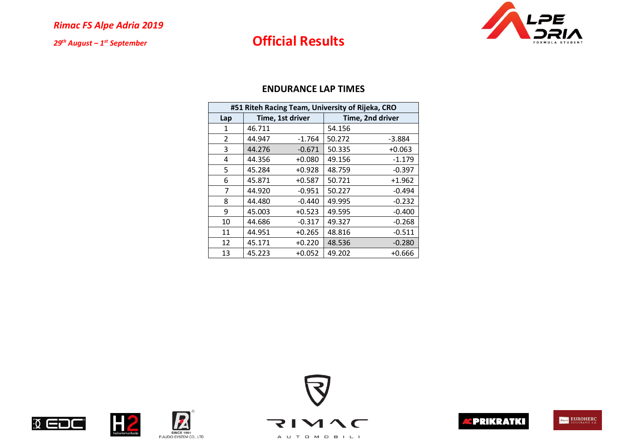# **Official Results**



|                | #51 Riteh Racing Team, University of Rijeka, CRO |                  |        |                  |  |  |  |
|----------------|--------------------------------------------------|------------------|--------|------------------|--|--|--|
| Lap            |                                                  | Time, 1st driver |        | Time, 2nd driver |  |  |  |
| 1              | 46.711                                           |                  | 54.156 |                  |  |  |  |
| $\overline{2}$ | 44.947                                           | $-1.764$         | 50.272 | -3.884           |  |  |  |
| 3              | 44.276                                           | $-0.671$         | 50.335 | $+0.063$         |  |  |  |
| 4              | 44.356                                           | $+0.080$         | 49.156 | $-1.179$         |  |  |  |
| 5              | 45.284                                           | $+0.928$         | 48.759 | $-0.397$         |  |  |  |
| 6              | 45.871                                           | $+0.587$         | 50.721 | $+1.962$         |  |  |  |
| 7              | 44.920                                           | $-0.951$         | 50.227 | $-0.494$         |  |  |  |
| 8              | 44.480                                           | $-0.440$         | 49.995 | $-0.232$         |  |  |  |
| 9              | 45.003                                           | $+0.523$         | 49.595 | $-0.400$         |  |  |  |
| 10             | 44.686                                           | $-0.317$         | 49.327 | $-0.268$         |  |  |  |
| 11             | 44.951                                           | $+0.265$         | 48.816 | $-0.511$         |  |  |  |
| 12             | 45.171                                           | $+0.220$         | 48.536 | $-0.280$         |  |  |  |
| 13             | 45.223                                           | $+0.052$         | 49.202 | $+0.666$         |  |  |  |











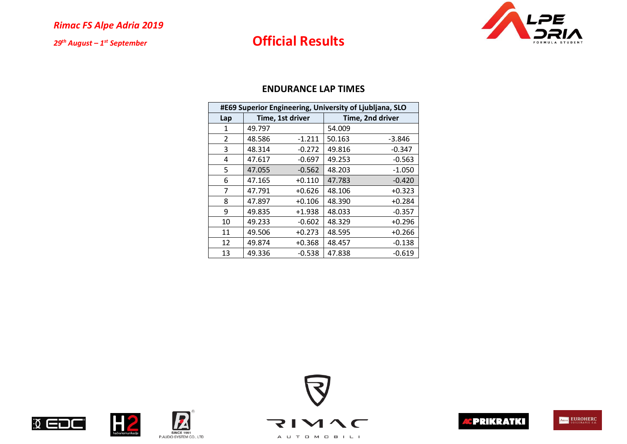# **Official Results**



|     | #E69 Superior Engineering, University of Ljubljana, SLO |                  |        |                  |  |  |  |
|-----|---------------------------------------------------------|------------------|--------|------------------|--|--|--|
| Lap |                                                         | Time, 1st driver |        | Time, 2nd driver |  |  |  |
| 1   | 49.797                                                  |                  | 54.009 |                  |  |  |  |
| 2   | 48.586                                                  | $-1.211$         | 50.163 | -3.846           |  |  |  |
| 3   | 48.314                                                  | $-0.272$         | 49.816 | $-0.347$         |  |  |  |
| 4   | 47.617                                                  | $-0.697$         | 49.253 | $-0.563$         |  |  |  |
| 5   | 47.055                                                  | $-0.562$         | 48.203 | $-1.050$         |  |  |  |
| 6   | 47.165                                                  | $+0.110$         | 47.783 | -0.420           |  |  |  |
| 7   | 47.791                                                  | $+0.626$         | 48.106 | $+0.323$         |  |  |  |
| 8   | 47.897                                                  | $+0.106$         | 48.390 | $+0.284$         |  |  |  |
| 9   | 49.835                                                  | +1.938           | 48.033 | $-0.357$         |  |  |  |
| 10  | 49.233                                                  | $-0.602$         | 48.329 | $+0.296$         |  |  |  |
| 11  | 49.506                                                  | $+0.273$         | 48.595 | +0.266           |  |  |  |
| 12  | 49.874                                                  | $+0.368$         | 48.457 | $-0.138$         |  |  |  |
| 13  | 49.336                                                  | $-0.538$         | 47.838 | -0.619           |  |  |  |











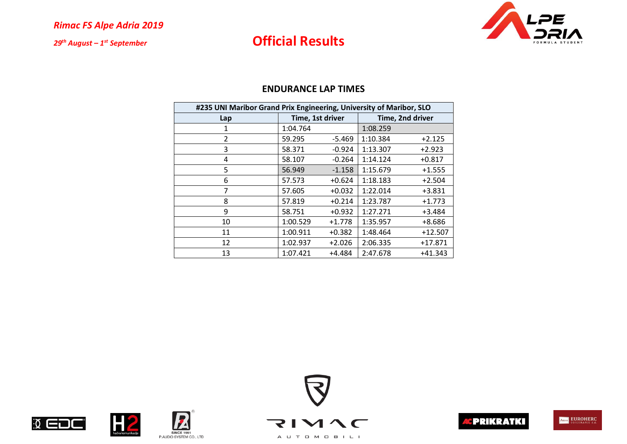## **Official Results**



| #235 UNI Maribor Grand Prix Engineering, University of Maribor, SLO |                  |          |                  |           |  |
|---------------------------------------------------------------------|------------------|----------|------------------|-----------|--|
| Lap                                                                 | Time, 1st driver |          | Time, 2nd driver |           |  |
| 1                                                                   | 1:04.764         |          | 1:08.259         |           |  |
| 2                                                                   | 59.295           | $-5.469$ | 1:10.384         | $+2.125$  |  |
| 3                                                                   | 58.371           | $-0.924$ | 1:13.307         | $+2.923$  |  |
| 4                                                                   | 58.107           | $-0.264$ | 1:14.124         | $+0.817$  |  |
| 5                                                                   | 56.949           | $-1.158$ | 1:15.679         | $+1.555$  |  |
| 6                                                                   | 57.573           | $+0.624$ | 1:18.183         | $+2.504$  |  |
| 7                                                                   | 57.605           | $+0.032$ | 1:22.014         | $+3.831$  |  |
| 8                                                                   | 57.819           | $+0.214$ | 1:23.787         | $+1.773$  |  |
| 9                                                                   | 58.751           | $+0.932$ | 1:27.271         | $+3.484$  |  |
| 10                                                                  | 1:00.529         | $+1.778$ | 1:35.957         | $+8.686$  |  |
| 11                                                                  | 1:00.911         | $+0.382$ | 1:48.464         | $+12.507$ |  |
| 12                                                                  | 1:02.937         | $+2.026$ | 2:06.335         | $+17.871$ |  |
| 13                                                                  | 1:07.421         | $+4.484$ | 2:47.678         | $+41.343$ |  |

#### **ENDURANCE LAP TIMES**











A U T O M O B I L I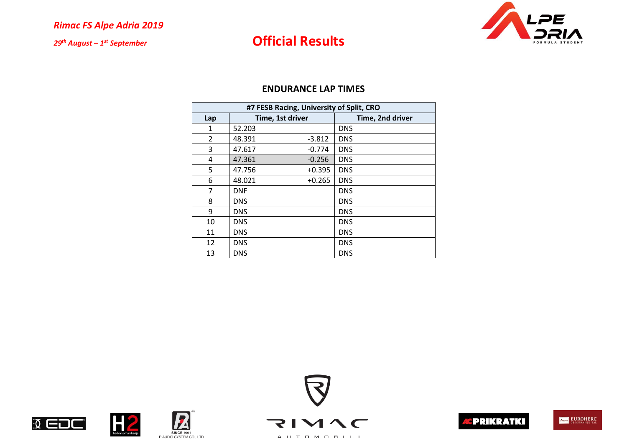# **Official Results**



### **ENDURANCE LAP TIMES**

|     | #7 FESB Racing, University of Split, CRO |                  |                  |  |  |  |
|-----|------------------------------------------|------------------|------------------|--|--|--|
| Lap |                                          | Time, 1st driver | Time, 2nd driver |  |  |  |
| 1   | 52.203                                   |                  | <b>DNS</b>       |  |  |  |
| 2   | 48.391                                   | $-3.812$         | <b>DNS</b>       |  |  |  |
| 3   | 47.617                                   | $-0.774$         | <b>DNS</b>       |  |  |  |
| 4   | 47.361                                   | $-0.256$         | <b>DNS</b>       |  |  |  |
| 5   | 47.756                                   | $+0.395$         | <b>DNS</b>       |  |  |  |
| 6   | 48.021                                   | $+0.265$         | <b>DNS</b>       |  |  |  |
| 7   | <b>DNF</b>                               |                  | <b>DNS</b>       |  |  |  |
| 8   | <b>DNS</b>                               |                  | <b>DNS</b>       |  |  |  |
| 9   | <b>DNS</b>                               |                  | <b>DNS</b>       |  |  |  |
| 10  | <b>DNS</b>                               |                  | <b>DNS</b>       |  |  |  |
| 11  | <b>DNS</b>                               |                  | <b>DNS</b>       |  |  |  |
| 12  | <b>DNS</b>                               |                  | <b>DNS</b>       |  |  |  |
| 13  | <b>DNS</b>                               |                  | <b>DNS</b>       |  |  |  |



**EDC** 







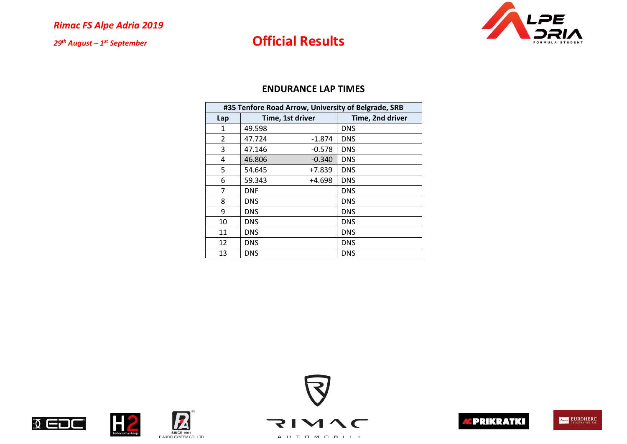# **Official Results**



### **ENDURANCE LAP TIMES**

|     | #35 Tenfore Road Arrow, University of Belgrade, SRB |                  |                  |  |  |  |
|-----|-----------------------------------------------------|------------------|------------------|--|--|--|
| Lap |                                                     | Time, 1st driver | Time, 2nd driver |  |  |  |
| 1   | 49.598                                              |                  | <b>DNS</b>       |  |  |  |
| 2   | 47.724                                              | $-1.874$         | <b>DNS</b>       |  |  |  |
| 3   | 47.146                                              | $-0.578$         | <b>DNS</b>       |  |  |  |
| 4   | 46.806                                              | $-0.340$         | <b>DNS</b>       |  |  |  |
| 5   | 54.645                                              | $+7.839$         | <b>DNS</b>       |  |  |  |
| 6   | 59.343                                              | +4.698           | <b>DNS</b>       |  |  |  |
| 7   | <b>DNF</b>                                          |                  | <b>DNS</b>       |  |  |  |
| 8   | <b>DNS</b>                                          |                  | <b>DNS</b>       |  |  |  |
| 9   | <b>DNS</b>                                          |                  | <b>DNS</b>       |  |  |  |
| 10  | <b>DNS</b>                                          |                  | <b>DNS</b>       |  |  |  |
| 11  | <b>DNS</b>                                          |                  | <b>DNS</b>       |  |  |  |
| 12  | <b>DNS</b>                                          |                  | <b>DNS</b>       |  |  |  |
| 13  | DNS                                                 |                  | <b>DNS</b>       |  |  |  |



 $\sqrt{ }$ 







**Alexander Alexander Alexander Alexander Alexander Alexander Alexander Alexander Alexander Alexander Alexander** 

**SINCE 1991** P.AUDIO SYSTEM CO., LTD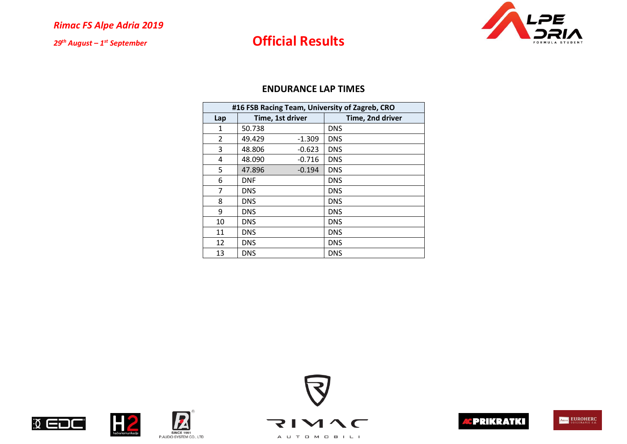# **Official Results**



### **ENDURANCE LAP TIMES**

|                | #16 FSB Racing Team, University of Zagreb, CRO |                  |                  |  |  |  |  |
|----------------|------------------------------------------------|------------------|------------------|--|--|--|--|
| Lap            |                                                | Time, 1st driver | Time, 2nd driver |  |  |  |  |
| 1              | 50.738                                         |                  | <b>DNS</b>       |  |  |  |  |
| $\overline{2}$ | 49.429                                         | $-1.309$         | <b>DNS</b>       |  |  |  |  |
| 3              | 48.806                                         | $-0.623$         | <b>DNS</b>       |  |  |  |  |
| 4              | 48.090                                         | $-0.716$         | <b>DNS</b>       |  |  |  |  |
| 5              | 47.896                                         | $-0.194$         | <b>DNS</b>       |  |  |  |  |
| 6              | <b>DNF</b>                                     |                  | <b>DNS</b>       |  |  |  |  |
| 7              | <b>DNS</b>                                     |                  | <b>DNS</b>       |  |  |  |  |
| 8              | <b>DNS</b>                                     |                  | <b>DNS</b>       |  |  |  |  |
| 9              | <b>DNS</b>                                     |                  | <b>DNS</b>       |  |  |  |  |
| 10             | <b>DNS</b>                                     |                  | <b>DNS</b>       |  |  |  |  |
| 11             | <b>DNS</b>                                     |                  | <b>DNS</b>       |  |  |  |  |
| 12             | <b>DNS</b>                                     |                  | <b>DNS</b>       |  |  |  |  |
| 13             | <b>DNS</b>                                     |                  | <b>DNS</b>       |  |  |  |  |

 $\sqrt{ }$ 









**Alexander Alexander Alexander Alexander Alexander Alexander Alexander Alexander Alexander Alexander Alexander** 

**SINCE 1991** P.AUDIO SYSTEM CO., LTD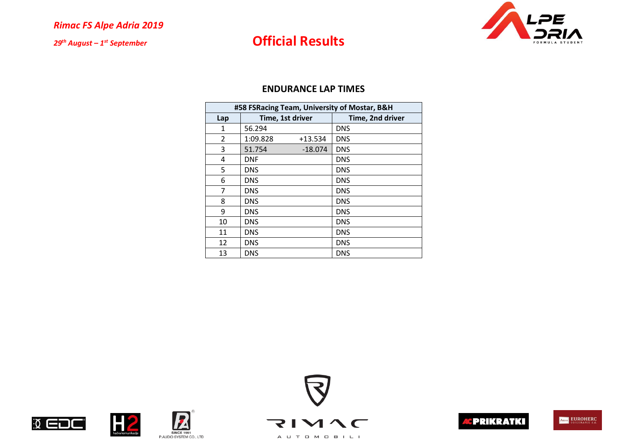# **Official Results**



|              | #58 FSRacing Team, University of Mostar, B&H |           |                  |  |  |  |  |
|--------------|----------------------------------------------|-----------|------------------|--|--|--|--|
| Lap          | Time, 1st driver                             |           | Time, 2nd driver |  |  |  |  |
| $\mathbf{1}$ | 56.294                                       |           | <b>DNS</b>       |  |  |  |  |
| 2            | 1:09.828                                     | $+13.534$ | <b>DNS</b>       |  |  |  |  |
| 3            | 51.754                                       | $-18.074$ | <b>DNS</b>       |  |  |  |  |
| 4            | <b>DNF</b>                                   |           | <b>DNS</b>       |  |  |  |  |
| 5            | <b>DNS</b>                                   |           | <b>DNS</b>       |  |  |  |  |
| 6            | <b>DNS</b>                                   |           | <b>DNS</b>       |  |  |  |  |
| 7            | <b>DNS</b>                                   |           | <b>DNS</b>       |  |  |  |  |
| 8            | <b>DNS</b>                                   |           | <b>DNS</b>       |  |  |  |  |
| 9            | <b>DNS</b>                                   |           | <b>DNS</b>       |  |  |  |  |
| 10           | DNS                                          |           | <b>DNS</b>       |  |  |  |  |
| 11           | <b>DNS</b>                                   |           | <b>DNS</b>       |  |  |  |  |
| 12           | <b>DNS</b>                                   |           | <b>DNS</b>       |  |  |  |  |
| 13           | <b>DNS</b>                                   |           | <b>DNS</b>       |  |  |  |  |









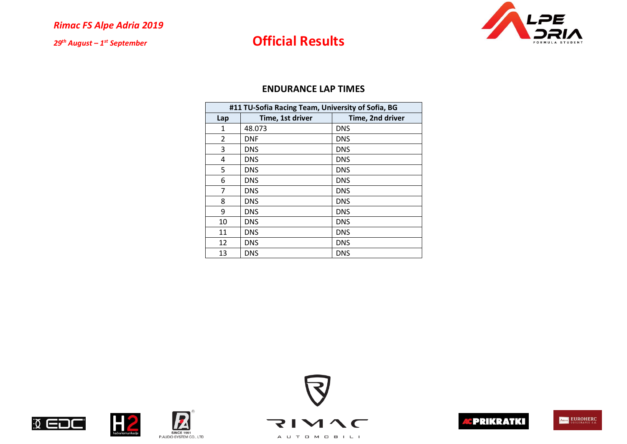# **Official Results**



| #11 TU-Sofia Racing Team, University of Sofia, BG |                  |                  |  |  |  |  |
|---------------------------------------------------|------------------|------------------|--|--|--|--|
| Lap                                               | Time, 1st driver | Time, 2nd driver |  |  |  |  |
| $\mathbf{1}$                                      | 48.073           | <b>DNS</b>       |  |  |  |  |
| 2                                                 | <b>DNF</b>       | <b>DNS</b>       |  |  |  |  |
| 3                                                 | <b>DNS</b>       | <b>DNS</b>       |  |  |  |  |
| 4                                                 | <b>DNS</b>       | <b>DNS</b>       |  |  |  |  |
| 5                                                 | <b>DNS</b>       | <b>DNS</b>       |  |  |  |  |
| 6                                                 | <b>DNS</b>       | <b>DNS</b>       |  |  |  |  |
| 7                                                 | <b>DNS</b>       | <b>DNS</b>       |  |  |  |  |
| 8                                                 | <b>DNS</b>       | <b>DNS</b>       |  |  |  |  |
| 9                                                 | <b>DNS</b>       | <b>DNS</b>       |  |  |  |  |
| 10                                                | <b>DNS</b>       | <b>DNS</b>       |  |  |  |  |
| 11                                                | <b>DNS</b>       | <b>DNS</b>       |  |  |  |  |
| 12                                                | <b>DNS</b>       | <b>DNS</b>       |  |  |  |  |
| 13                                                | <b>DNS</b>       | <b>DNS</b>       |  |  |  |  |









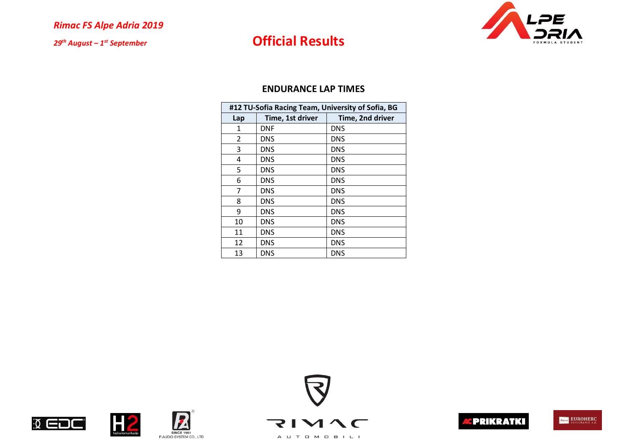# **Official Results**



|     | #12 TU-Sofia Racing Team, University of Sofia, BG |                  |  |  |  |  |
|-----|---------------------------------------------------|------------------|--|--|--|--|
| Lap | Time, 1st driver                                  | Time, 2nd driver |  |  |  |  |
| 1   | <b>DNF</b>                                        | <b>DNS</b>       |  |  |  |  |
| 2   | <b>DNS</b>                                        | <b>DNS</b>       |  |  |  |  |
| 3   | <b>DNS</b>                                        | <b>DNS</b>       |  |  |  |  |
| 4   | <b>DNS</b>                                        | <b>DNS</b>       |  |  |  |  |
| 5   | <b>DNS</b>                                        | <b>DNS</b>       |  |  |  |  |
| 6   | <b>DNS</b>                                        | <b>DNS</b>       |  |  |  |  |
| 7   | DNS.                                              | <b>DNS</b>       |  |  |  |  |
| 8   | <b>DNS</b>                                        | <b>DNS</b>       |  |  |  |  |
| 9   | <b>DNS</b>                                        | <b>DNS</b>       |  |  |  |  |
| 10  | <b>DNS</b>                                        | <b>DNS</b>       |  |  |  |  |
| 11  | <b>DNS</b>                                        | <b>DNS</b>       |  |  |  |  |
| 12  | <b>DNS</b>                                        | <b>DNS</b>       |  |  |  |  |
| 13  | <b>DNS</b>                                        | <b>DNS</b>       |  |  |  |  |











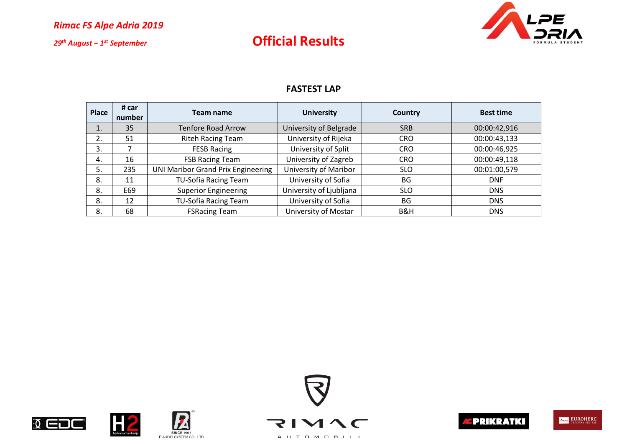

### **Official Results**

### **FASTEST LAP**

| <b>Place</b> | # car<br>number | Team name                                 | <b>University</b>       | Country    | <b>Best time</b> |  |
|--------------|-----------------|-------------------------------------------|-------------------------|------------|------------------|--|
|              | 35              | <b>Tenfore Road Arrow</b>                 | University of Belgrade  | <b>SRB</b> | 00:00:42,916     |  |
| 2.           | 51              | <b>Riteh Racing Team</b>                  | University of Rijeka    | <b>CRO</b> | 00:00:43,133     |  |
| 3.           |                 | <b>FESB Racing</b>                        | University of Split     | <b>CRO</b> | 00:00:46,925     |  |
| 4.           | 16              | <b>FSB Racing Team</b>                    | University of Zagreb    | <b>CRO</b> | 00:00:49,118     |  |
| 5.           | 235             | <b>UNI Maribor Grand Prix Engineering</b> | University of Maribor   | <b>SLO</b> | 00:01:00,579     |  |
| 8.           | 11              | <b>TU-Sofia Racing Team</b>               | University of Sofia     | <b>BG</b>  | <b>DNF</b>       |  |
| 8.           | E69             | <b>Superior Engineering</b>               | University of Ljubljana | <b>SLO</b> | <b>DNS</b>       |  |
| 8.           | 12              | TU-Sofia Racing Team                      | University of Sofia     | <b>BG</b>  | <b>DNS</b>       |  |
| 8.           | 68              | <b>FSRacing Team</b>                      | University of Mostar    | B&H        | <b>DNS</b>       |  |